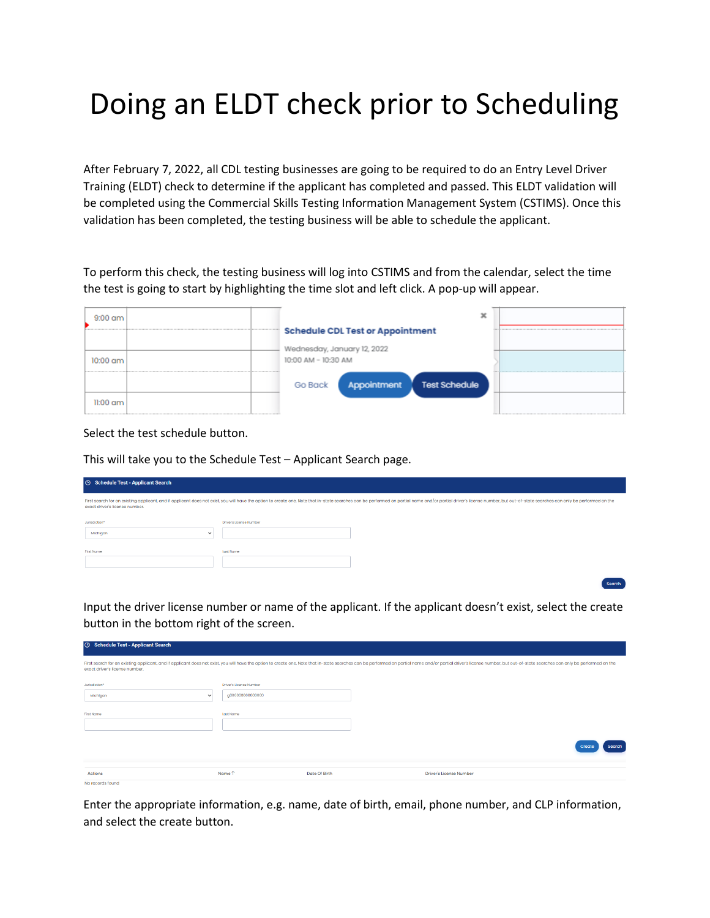# Doing an ELDT check prior to Scheduling

After February 7, 2022, all CDL testing businesses are going to be required to do an Entry Level Driver Training (ELDT) check to determine if the applicant has completed and passed. This ELDT validation will be completed using the Commercial Skills Testing Information Management System (CSTIMS). Once this validation has been completed, the testing business will be able to schedule the applicant.

To perform this check, the testing business will log into CSTIMS and from the calendar, select the time the test is going to start by highlighting the time slot and left click. A pop-up will appear.

| $9:00$ am  |                                                    |  |
|------------|----------------------------------------------------|--|
|            | <b>Schedule CDL Test or Appointment</b>            |  |
| $10:00$ am | Wednesday, January 12, 2022<br>10:00 AM - 10:30 AM |  |
|            | <b>Test Schedule</b><br>Go Back<br>Appointment     |  |
| 11:00 am.  |                                                    |  |

Select the test schedule button.

**C** Schedule Test - Applicant Search

This will take you to the Schedule Test – Applicant Search page.

| <b>6</b> Schedule Test - Applicant Search                                                                                                                                                                                                                        |                         |  |  |  |  |
|------------------------------------------------------------------------------------------------------------------------------------------------------------------------------------------------------------------------------------------------------------------|-------------------------|--|--|--|--|
| First search for an existing applicant, and if applicant does not exist, you will have the option to create one. Note that in-state searches can be performed on partial name and/or partial driver's license number, but out-<br>exact driver's license number. |                         |  |  |  |  |
| Jurisdiction*<br>Michigan<br>$\checkmark$                                                                                                                                                                                                                        | Driver's License Number |  |  |  |  |
| <b>First Name</b>                                                                                                                                                                                                                                                | Last Name               |  |  |  |  |

Input the driver license number or name of the applicant. If the applicant doesn't exist, select the create button in the bottom right of the screen.

Search

| exact driver's license number. |                         |               | First search for an existing applicant, and if applicant does not exist, you will have the option to create one. Note that in-state searches can be performed on partial name and/or partial driver's license number, but out- |                 |
|--------------------------------|-------------------------|---------------|--------------------------------------------------------------------------------------------------------------------------------------------------------------------------------------------------------------------------------|-----------------|
| Jurisdiction*                  | Driver's License Number |               |                                                                                                                                                                                                                                |                 |
| Michigan<br>$\checkmark$       | g000000000000000        |               |                                                                                                                                                                                                                                |                 |
|                                |                         |               |                                                                                                                                                                                                                                |                 |
| First Name                     | Last Name               |               |                                                                                                                                                                                                                                |                 |
|                                |                         |               |                                                                                                                                                                                                                                |                 |
|                                |                         |               |                                                                                                                                                                                                                                | Search<br>Creat |
|                                |                         |               |                                                                                                                                                                                                                                |                 |
| <b>Actions</b>                 | Name 1                  | Date Of Birth | <b>Driver's License Number</b>                                                                                                                                                                                                 |                 |
| No records found               |                         |               |                                                                                                                                                                                                                                |                 |

Enter the appropriate information, e.g. name, date of birth, email, phone number, and CLP information, and select the create button.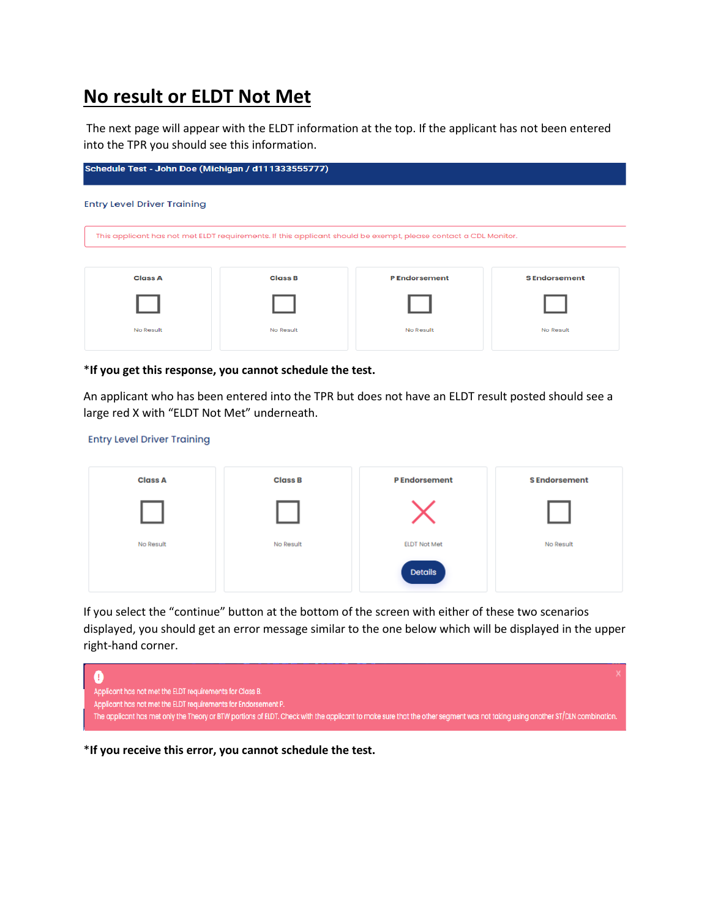### **No result or ELDT Not Met**

The next page will appear with the ELDT information at the top. If the applicant has not been entered into the TPR you should see this information.



#### \***If you get this response, you cannot schedule the test.**

An applicant who has been entered into the TPR but does not have an ELDT result posted should see a large red X with "ELDT Not Met" underneath.

#### **Entry Level Driver Training**

| <b>Class A</b> | <b>Class B</b> | <b>PEndorsement</b> | <b>SEndorsement</b> |
|----------------|----------------|---------------------|---------------------|
|                |                |                     |                     |
| No Result      | No Result      | <b>ELDT Not Met</b> | No Result           |
|                |                | <b>Details</b>      |                     |

If you select the "continue" button at the bottom of the screen with either of these two scenarios displayed, you should get an error message similar to the one below which will be displayed in the upper right-hand corner.



\***If you receive this error, you cannot schedule the test.**